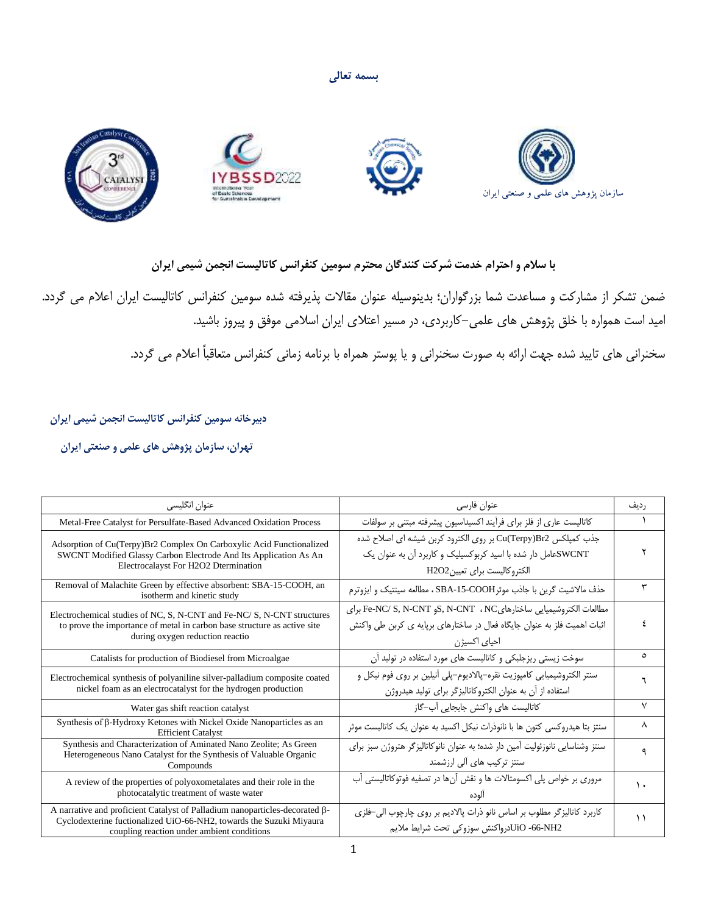**بسمه تعالی**



## **با سالم و احترام خدمت شرکت کنندگان محترم سومین کنفرانس کاتالیست انجمن شیمی ایران**

ضمن تشکر از مشارکت و مساعدت شما بزرگواران؛ بدینوسیله عنوان مقاالت پذیرفته شده سومین کنفرانس کاتالیست ایران اعالم می گردد. امید است همواره با خلق پژوهش های علمی-کاربردی، در مسیر اعتالی ایران اسالمی موفق و پیروز باشید.

سخنرانی های تایید شده جهت ارائه به صورت سخنرانی و یا پوستر همراه با برنامه زمانی کنفرانس متعاقباً اعالم می گردد.

 **دبیرخانه سومین کنفرانس کاتالیست انجمن شیمی ایران** 

 **تهران، سازمان پژوهش های علمی و صنعتی ایران** 

| عنوان انگلیسی                                                                                                                                                                                    | عنوان فارسى                                                                                                                                                   | , دىف   |
|--------------------------------------------------------------------------------------------------------------------------------------------------------------------------------------------------|---------------------------------------------------------------------------------------------------------------------------------------------------------------|---------|
| Metal-Free Catalyst for Persulfate-Based Advanced Oxidation Process                                                                                                                              | كاتاليست عاري از فلز براي فرأيند اكسيداسيون پيشرفته مبتنى بر سولفات                                                                                           |         |
| Adsorption of Cu(Terpy)Br2 Complex On Carboxylic Acid Functionalized<br>SWCNT Modified Glassy Carbon Electrode And Its Application As An<br>Electrocalayst For H2O2 Dtermination                 | جذب كميلكس Cu(Terpy)Br2 بر روى الكترود كربن شيشه اى اصلاح شده<br>SWCNTهعامل دار شده با اسید کربوکسیلیک و کاربرد آن به عنوان یک<br>الكتروكاليست براي تعيينH2O2 |         |
| Removal of Malachite Green by effective absorbent: SBA-15-COOH, an<br>isotherm and kinetic study                                                                                                 | حذف مالاشيت گرين با جاذب موثرSBA-15-COOH ، مطالعه سينتيک و ايزوترم                                                                                            | ٣       |
| Electrochemical studies of NC, S, N-CNT and Fe-NC/S, N-CNT structures<br>to prove the importance of metal in carbon base structure as active site<br>during oxygen reduction reactio             | مطالعات الكتروشيميايي ساختارهايNC ، NC و Fe-NC/ S, N-CNT براي<br>اثبات اهمیت فلز به عنوان جایگاه فعال در ساختارهای برپایه ی کربن طی واکنش<br>احیای اکسیژن     |         |
| Catalists for production of Biodiesel from Microalgae                                                                                                                                            | سوخت زیستی ریزجلبکی و کاتالیست های مورد استفاده در تولید آن                                                                                                   | $\circ$ |
| Electrochemical synthesis of polyaniline silver-palladium composite coated<br>nickel foam as an electrocatalyst for the hydrogen production                                                      | سنتر الکتروشیمیایی کامپوزیت نقره–پالادیوم–پلی آنیلین بر روی فوم نیکل و<br>استفاده از آن به عنوان الكتروكاتاليزگر براي توليد هيدروژن                           |         |
| Water gas shift reaction catalyst                                                                                                                                                                | كاتاليست هاى واكنش جابجايي آب-گاز                                                                                                                             | ٧       |
| Synthesis of $\beta$ -Hydroxy Ketones with Nickel Oxide Nanoparticles as an<br><b>Efficient Catalyst</b>                                                                                         | سنتز بتا هیدروکسی کتون ها با نانوذرات نیکل اکسید به عنوان یک کاتالیست موثر                                                                                    | ٨       |
| Synthesis and Characterization of Aminated Nano Zeolite; As Green<br>Heterogeneous Nano Catalyst for the Synthesis of Valuable Organic<br>Compounds                                              | سنتز وشناسایی نانوزئولیت آمین دار شده؛ به عنوان نانوکاتالیزگر هتروژن سبز برای<br>سنتز ترکیب های آلی ارزشمند                                                   |         |
| A review of the properties of polyoxometalates and their role in the<br>photocatalytic treatment of waste water                                                                                  | مروری بر خواص پلی اکسومتالات ها و نقش آنها در تصفیه فوتوکاتالیستی آب                                                                                          |         |
| A narrative and proficient Catalyst of Palladium nanoparticles-decorated β-<br>Cyclodexterine fuctionalized UiO-66-NH2, towards the Suzuki Miyaura<br>coupling reaction under ambient conditions | کاربرد کاتالیزگر مطلوب بر اساس نانو ذرات پالادیم بر روی چارچوب الی-فلزی<br>UiO -66-NH2درواكنش سوزوكي تحت شرايط ملايم                                          | ۱۱      |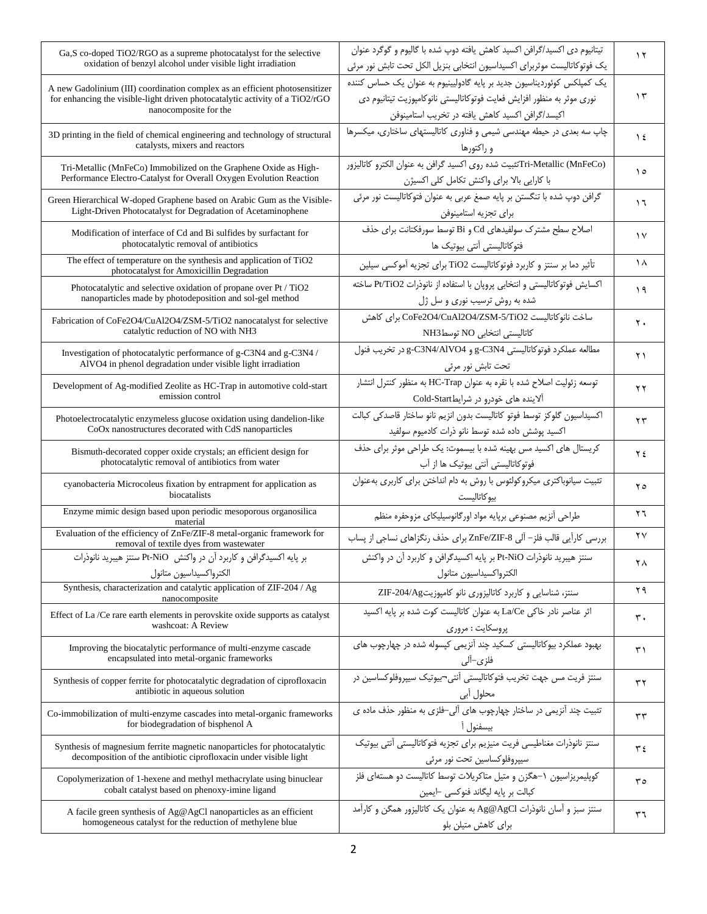| Ga, S co-doped TiO2/RGO as a supreme photocatalyst for the selective<br>oxidation of benzyl alcohol under visible light irradiation                                                  | تیتانیوم دی اکسید/گرافن اکسید کاهش یافته دوپ شده با گالیوم و گوگرد عنوان<br>یک فوتوکاتالیست موثربرای اکسیداسیون انتخابی بنزیل الکل تحت تابش نور مرئی                                                  | $\gamma$               |
|--------------------------------------------------------------------------------------------------------------------------------------------------------------------------------------|-------------------------------------------------------------------------------------------------------------------------------------------------------------------------------------------------------|------------------------|
| A new Gadolinium (III) coordination complex as an efficient photosensitizer<br>for enhancing the visible-light driven photocatalytic activity of a TiO2/rGO<br>nanocomposite for the | یک کمپلکس کوئوردیناسیون جدید بر پایه گادولیینیوم به عنوان یک حساس کننده<br>نوری موثر به منظور افزایش فعایت فوتوكاتالیستی نانوكامپوزیت تیتانیوم دی<br>اكيسد/گرافن اكسيد كاهش يافته در تخريب استامينوفن | $\gamma$               |
| 3D printing in the field of chemical engineering and technology of structural<br>catalysts, mixers and reactors                                                                      | چاپ سه بعدی در حیطه مهندسی شیمی و فناوری کاتالیستهای ساختاری، میکسرها<br>و راکتورها                                                                                                                   | $\frac{1}{2}$          |
| Tri-Metallic (MnFeCo) Immobilized on the Graphene Oxide as High-<br>Performance Electro-Catalyst for Overall Oxygen Evolution Reaction                                               | Tri-Metallic (MnFeCo)تثبيت شده روى اكسيد گرافن به عنوان الكترو كاتاليزور<br>با كارايي بالا براي واكنش تكامل كلي اكسيژن                                                                                | ه ۱                    |
| Green Hierarchical W-doped Graphene based on Arabic Gum as the Visible-<br>Light-Driven Photocatalyst for Degradation of Acetaminophene                                              | گرافن دوپ شده با تنگستن بر پایه صمغ عربی به عنوان فتوكاتاليست نور مرئی<br>براى تجزيه استامينوفن                                                                                                       | $\mathcal{L}$          |
| Modification of interface of Cd and Bi sulfides by surfactant for<br>photocatalytic removal of antibiotics                                                                           | اصلاح سطح مشترک سولفیدهای Cd و Bi توسط سورفکتانت برای حذف<br>فتوكاتاليستى أنتى بيوتيك ها                                                                                                              | $\gamma$               |
| The effect of temperature on the synthesis and application of TiO2<br>photocatalyst for Amoxicillin Degradation                                                                      | تأثیر دما بر سنتز و کاربرد فوتوکاتالیست TiO2 برای تجزیه آموکسی سیلین                                                                                                                                  | $\lambda$              |
| Photocatalytic and selective oxidation of propane over Pt / TiO2<br>nanoparticles made by photodeposition and sol-gel method                                                         | اکسایش فوتوکاتالیستی و انتخابی پروپان با استفاده از نانوذرات Pt/TiO2 ساخته<br>شده به روش ترسیب نوری و سل ژل                                                                                           | 19                     |
| Fabrication of CoFe2O4/CuAl2O4/ZSM-5/TiO2 nanocatalyst for selective<br>catalytic reduction of NO with NH3                                                                           | ساخت نانوكاتاليست CoFe2O4/CuAl2O4/ZSM-5/TiO2 براى كاهش<br>كاتاليستى انتخابى NO توسط NH3                                                                                                               | ٢.                     |
| Investigation of photocatalytic performance of g-C3N4 and g-C3N4 /<br>AlVO4 in phenol degradation under visible light irradiation                                                    | مطالعه عملكرد فوتوكاتاليستى g-C3N4 و g-C3N4/AlVO4 در تخريب فنول<br>تحت تابش نور مرئي                                                                                                                  | $\gamma \gamma$        |
| Development of Ag-modified Zeolite as HC-Trap in automotive cold-start<br>emission control                                                                                           | توسعه زئوليت اصلاح شده با نقره به عنوان HC-Trap به منظور كنترل انتشار<br>آلاینده های خودرو در شرایطCold-Start                                                                                         | ۲۲                     |
| Photoelectrocatalytic enzymeless glucose oxidation using dandelion-like<br>CoOx nanostructures decorated with CdS nanoparticles                                                      | اكسيداسيون گلوكز توسط فوتو كاتاليست بدون انزيم نانو ساختار قاصدكى كبالت<br>اكسيد پوشش داده شده توسط نانو ذرات كادميوم سولفيد                                                                          | ۲۳                     |
| Bismuth-decorated copper oxide crystals; an efficient design for<br>photocatalytic removal of antibiotics from water                                                                 | کریستال های اکسید مس بهینه شده با بیسموت: یک طراحی موثر برای حذف<br>فوتوكاتاليستى آنتى بيوتيك ها از آب                                                                                                | ۲٤                     |
| cyanobacteria Microcoleus fixation by entrapment for application as<br>biocatalists                                                                                                  | تثبیت سیانوباکتری میکروکولئوس با روش به دام انداختن برای کاربری بهعنوان<br>بيوكاتاليست                                                                                                                | ه ۲                    |
| Enzyme mimic design based upon periodic mesoporous organosilica<br>material                                                                                                          | طراحي أنزيم مصنوعي برپايه مواد اورگانوسيليكاي مزوحفره منظم                                                                                                                                            | ۲٦                     |
| Evaluation of the efficiency of ZnFe/ZIF-8 metal-organic framework for<br>removal of textile dyes from wastewater                                                                    | بررسی کارآیی قالب فلز- آلی ZnFe/ZIF-8 برای حذف رنگزاهای نساجی از پساب                                                                                                                                 | $\mathsf{Y}\mathsf{V}$ |
| بر پایه اکسیدگرافن و کاربرد آن در واکنش Pt-NiO سنتز هیبرید نانوذرات<br>الكترواكسيداسيون متانول                                                                                       | سنتز هیبرید نانوذرات Pt-NiO بر پایه اکسیدگرافن و کاربرد آن در واکنش<br>الكترواكسيداسيون متانول                                                                                                        | ٢٨                     |
| Synthesis, characterization and catalytic application of ZIF-204 / Ag<br>nanocomposite                                                                                               | سنتز، شناسایی و کاربرد کاتالیزوری نانو کامپوزیتZIF-204/Ag                                                                                                                                             | ۲۹                     |
| Effect of La/Ce rare earth elements in perovskite oxide supports as catalyst<br>washcoat: A Review                                                                                   | اثر عناصر نادر خاكي La/Ce به عنوان كاتاليست كوت شده بر پايه اكسيد<br>پروسکایت : مروری                                                                                                                 | ٣.                     |
| Improving the biocatalytic performance of multi-enzyme cascade<br>encapsulated into metal-organic frameworks                                                                         | بهبود عملکرد بیوکاتالیستی کسکید چند آنزیمی کپسوله شده در چهارچوب های<br>فلزى–آلى                                                                                                                      | ۳۱                     |
| Synthesis of copper ferrite for photocatalytic degradation of ciprofloxacin<br>antibiotic in aqueous solution                                                                        | سنتز فريت مس جهت تخريب فتوكاتاليستي آنتي¬ييوتيک سيپروفلوكساسين در<br>محلول ابی                                                                                                                        | ٣٢                     |
| Co-immobilization of multi-enzyme cascades into metal-organic frameworks<br>for biodegradation of bisphenol A                                                                        | تثبیت چند آنزیمی در ساختار چهارچوب های آلی-فلزی به منظور حذف ماده ی<br>بيسفنول آ                                                                                                                      | ٣٣                     |
| Synthesis of magnesium ferrite magnetic nanoparticles for photocatalytic<br>decomposition of the antibiotic ciprofloxacin under visible light                                        | سنتز نانوذرات مغناطيسي فريت منيزيم براي تجزيه فتوكاتاليستي آنتي بيوتيك<br>سیپروفلوکساسین تحت نور مرئی                                                                                                 | ۳٤                     |
| Copolymerization of 1-hexene and methyl methacrylate using binuclear<br>cobalt catalyst based on phenoxy-imine ligand                                                                | کوپلیمریزاسیون ۱–هگزن و متیل متاکریلات توسط کاتالیست دو هستهای فلز<br>كبالت بر پايه ليگاند فنوكسي –ايمين                                                                                              | ۳٥                     |
| A facile green synthesis of Ag@AgCl nanoparticles as an efficient<br>homogeneous catalyst for the reduction of methylene blue                                                        | سنتز سبز و آسان نانوذرات Ag@AgCl به عنوان یک کاتالیزور همگن و کارآمد<br>برای کاهش متیلن بلو                                                                                                           | ٣٦                     |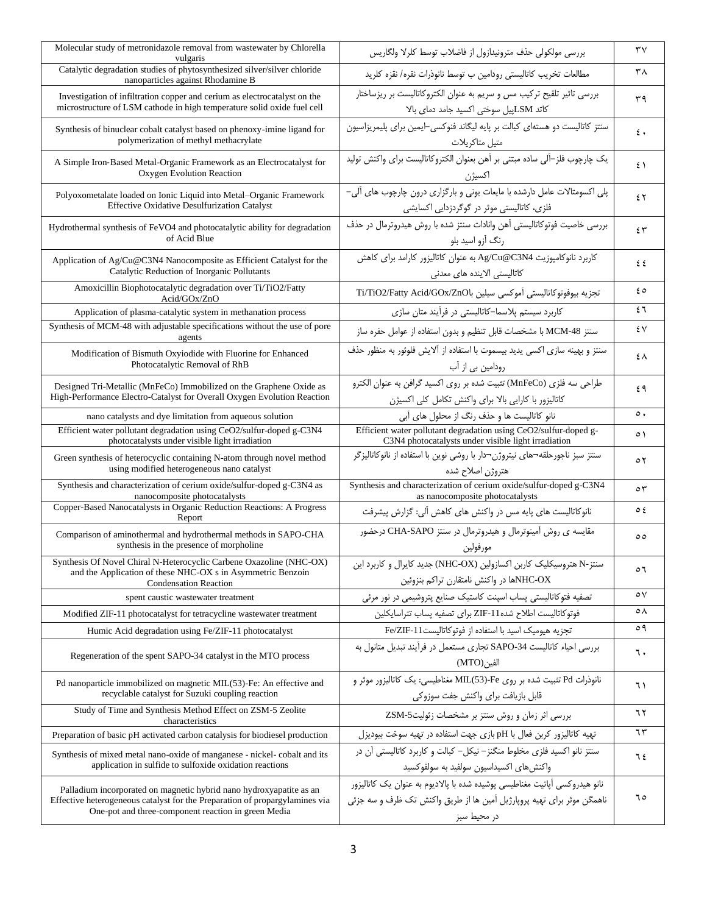| Molecular study of metronidazole removal from wastewater by Chlorella<br>vulgaris                                                                                                                         | بررسی مولکولی حذف مترونیدازول از فاضلاب توسط کلرلا ولگاریس                                                                                                          | ٣٧            |
|-----------------------------------------------------------------------------------------------------------------------------------------------------------------------------------------------------------|---------------------------------------------------------------------------------------------------------------------------------------------------------------------|---------------|
| Catalytic degradation studies of phytosynthesized silver/silver chloride<br>nanoparticles against Rhodamine B                                                                                             | مطالعات تخريب كاتاليستي رودامين ب توسط نانوذرات نقره/ نقزه كلريد                                                                                                    | ۳۸            |
| Investigation of infiltration copper and cerium as electrocatalyst on the<br>microstructure of LSM cathode in high temperature solid oxide fuel cell                                                      | بررسی تاثیر تلقیح ترکیب مس و سریم به عنوان الکتروکاتالیست بر ریزساختار<br>كاتد LSMپيل سوختى اكسيد جامد دماى بالا                                                    | ۳۹            |
| Synthesis of binuclear cobalt catalyst based on phenoxy-imine ligand for<br>polymerization of methyl methacrylate                                                                                         | سنتز کاتالیست دو هستهای کبالت بر پایه لیگاند فنوکسی-ایمین برای پلیمریزاسیون<br>متيل متاكريلات                                                                       | $\epsilon$ .  |
| A Simple Iron-Based Metal-Organic Framework as an Electrocatalyst for<br>Oxygen Evolution Reaction                                                                                                        | یک چارچوب فلز–آلی ساده مبتنی بر آهن بعنوان الکتروکاتالیست برای واکنش تولید<br>اکسیژن                                                                                | $5 \lambda$   |
| Polyoxometalate loaded on Ionic Liquid into Metal-Organic Framework<br>Effective Oxidative Desulfurization Catalyst                                                                                       | پلی اکسومتالات عامل دارشده با مایعات یونی و بارگزاری درون چارچوب های آلی-<br>فلزی، کاتالیستی موثر در گوگردزدایی اکسایشی                                             | ٤٢            |
| Hydrothermal synthesis of FeVO4 and photocatalytic ability for degradation<br>of Acid Blue                                                                                                                | بررسی خاصیت فوتوكاتالیستی آهن وانادات سنتز شده با روش هیدروترمال در حذف<br>رنگ آزو اسید بلو                                                                         | ٤٣            |
| Application of Ag/Cu@C3N4 Nanocomposite as Efficient Catalyst for the<br>Catalytic Reduction of Inorganic Pollutants                                                                                      | كاربرد نانوكامپوزيت Ag/Cu@C3N4 به عنوان كاتاليزور كارامد براى كاهش<br>كاتاليستى الاينده هاى معدنى                                                                   | ٤٤            |
| Amoxicillin Biophotocatalytic degradation over Ti/TiO2/Fatty<br>Acid/GOx/ZnO                                                                                                                              | تجزيه بيوفوتوكاتاليستى آموكسى سيلين باTi/TiO2/Fatty Acid/GOx/ZnO                                                                                                    | ه ٤           |
| Application of plasma-catalytic system in methanation process                                                                                                                                             | کاربرد سیستم پلاسما–کاتالیستی در فرآیند متان سازی                                                                                                                   | ٤٦            |
| Synthesis of MCM-48 with adjustable specifications without the use of pore<br>agents                                                                                                                      | سنتز MCM-48 با مشخصات قابل تنظيم و بدون استفاده از عوامل حفره ساز                                                                                                   | ٤V            |
| Modification of Bismuth Oxyiodide with Fluorine for Enhanced<br>Photocatalytic Removal of RhB                                                                                                             | سنتز و بهينه سازي اكسى يديد بيسموت با استفاده از آلايش فلوئور به منظور حذف<br>رودامین بی از آب                                                                      | ٤٨            |
| Designed Tri-Metallic (MnFeCo) Immobilized on the Graphene Oxide as<br>High-Performance Electro-Catalyst for Overall Oxygen Evolution Reaction                                                            | طراحي سه فلزي (MnFeCo) تثبيت شده بر روى اكسيد گرافن به عنوان الكترو<br>كاتاليزور با كارايي بالا براي واكنش تكامل كلي اكسيژن                                         | ٤٩            |
| nano catalysts and dye limitation from aqueous solution                                                                                                                                                   | نانو کاتالیست ها و حذف رنگ از محلول های آبی                                                                                                                         | $\circ$ .     |
| Efficient water pollutant degradation using CeO2/sulfur-doped g-C3N4<br>photocatalysts under visible light irradiation                                                                                    | Efficient water pollutant degradation using CeO2/sulfur-doped g-<br>C3N4 photocatalysts under visible light irradiation                                             | ٥١            |
| Green synthesis of heterocyclic containing N-atom through novel method<br>using modified heterogeneous nano catalyst                                                                                      | سنتز سبز ناجورحلقه¬های نیتروژن¬دار با روشی نوین با استفاده از نانوکاتالیزگر<br>هتروژن اصلاح شده                                                                     | ٥٢            |
| Synthesis and characterization of cerium oxide/sulfur-doped g-C3N4 as                                                                                                                                     | Synthesis and characterization of cerium oxide/sulfur-doped g-C3N4                                                                                                  | ٥٣            |
| nanocomposite photocatalysts<br>Copper-Based Nanocatalysts in Organic Reduction Reactions: A Progress<br>Report                                                                                           | as nanocomposite photocatalysts<br>نانوکاتالیست های پایه مس در واکنش های کاهش آلی: گزارش پیشرفت                                                                     | $\circ$ {     |
| Comparison of aminothermal and hydrothermal methods in SAPO-CHA<br>synthesis in the presence of morpholine                                                                                                | مقایسه ی روش آمینوترمال و هیدروترمال در سنتز CHA-SAPO درحضور<br>مورفولين                                                                                            | $\circ \circ$ |
| Synthesis Of Novel Chiral N-Heterocyclic Carbene Oxazoline (NHC-OX)<br>and the Application of these NHC-OX s in Asymmetric Benzoin<br><b>Condensation Reaction</b>                                        | سنتز-N هتروسیکلیک کاربن اکسازولین (NHC-OX) جدید کایرال و کاربرد این<br>NHC-OXها در واكنش نامتقارن تراكم بنزوئين                                                     | ٥٦            |
| spent caustic wastewater treatment                                                                                                                                                                        | تصفیه فتوکاتالیستی پساب اسپنت کاستیک صنایع پتروشیمی در نور مرئی                                                                                                     | ٥٧            |
| Modified ZIF-11 photocatalyst for tetracycline wastewater treatment                                                                                                                                       | فوتوكاتاليست اطلاح شده11-ZIF براى تصفيه پساب تتراسايكلين                                                                                                            | ٥٨            |
| Humic Acid degradation using Fe/ZIF-11 photocatalyst                                                                                                                                                      | تجزيه هيوميك اسيد با استفاده از فوتوكاتاليست11-Fe/ZIF                                                                                                               | ٥٩            |
| Regeneration of the spent SAPO-34 catalyst in the MTO process                                                                                                                                             | بررسی احیاء کاتالیست SAPO-34 تجاری مستعمل در فرآیند تبدیل متانول به<br>الفين(MTO)                                                                                   | ٦.            |
| Pd nanoparticle immobilized on magnetic MIL(53)-Fe: An effective and<br>recyclable catalyst for Suzuki coupling reaction                                                                                  | نانوذرات Pd تثبیت شده بر روی MIL(53)-Fe مغناطیسی: یک کاتالیزور موثر و<br>قابل بازيافت براي واكنش جفت سوزوكي                                                         | ٦١            |
| Study of Time and Synthesis Method Effect on ZSM-5 Zeolite<br>characteristics                                                                                                                             | بررسی اثر زمان و روش سنتز بر مشخصات زئولیت5-ZSM                                                                                                                     | ٦٢            |
| Preparation of basic pH activated carbon catalysis for biodiesel production                                                                                                                               | تهیه کاتالیزور کربن فعال با pH بازی جهت استفاده در تهیه سوخت بیودیزل                                                                                                | 75            |
| Synthesis of mixed metal nano-oxide of manganese - nickel-cobalt and its<br>application in sulfide to sulfoxide oxidation reactions                                                                       | سنتز نانو اکسید فلزی مخلوط منگنز- نیکل- کبالت و کاربرد کاتالیستی آن در<br>واکنش های اکسیداسیون سولفید به سولفوکسید                                                  | ٦٤            |
| Palladium incorporated on magnetic hybrid nano hydroxyapatite as an<br>Effective heterogeneous catalyst for the Preparation of propargylamines via<br>One-pot and three-component reaction in green Media | نانو هیدروکسی آپاتیت مغناطیسی پوشیده شده با پالادیوم به عنوان یک کاتالیزور<br>ناهمگن موثر برای تهیه پروپارژیل آمین ها از طریق واکنش تک ظرف و سه جزئی<br>در محیط سبز | ٦٥            |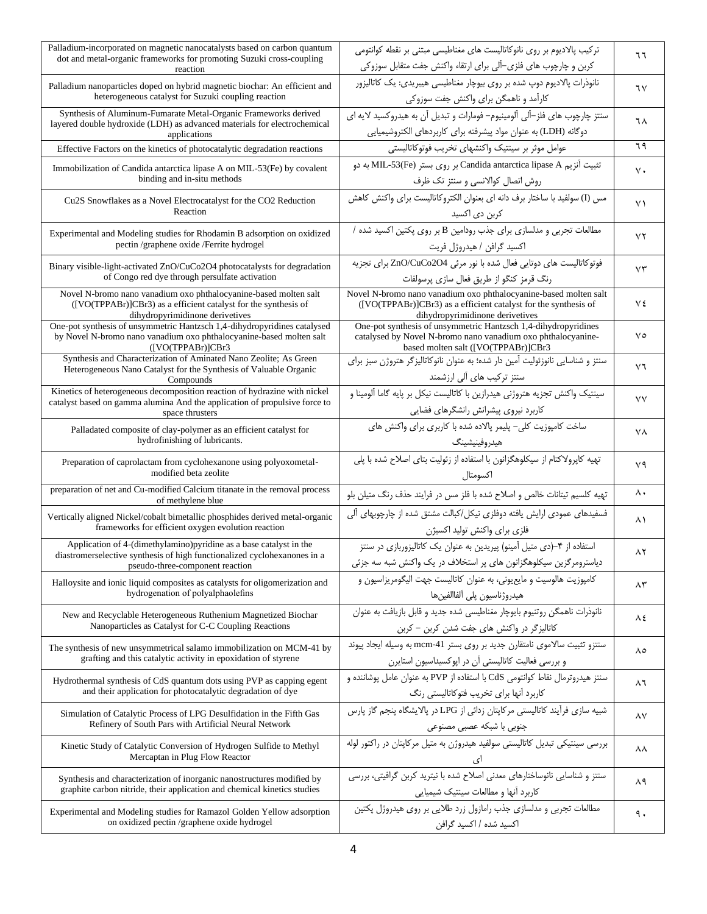| Palladium-incorporated on magnetic nanocatalysts based on carbon quantum                                                                | ترکیب پالادیوم بر روی نانوکاتالیست های مغناطیسی مبتنی بر نقطه کوانتومی                                                              | ٦٦                     |
|-----------------------------------------------------------------------------------------------------------------------------------------|-------------------------------------------------------------------------------------------------------------------------------------|------------------------|
| dot and metal-organic frameworks for promoting Suzuki cross-coupling<br>reaction                                                        | کربن و چارچوب های فلزی–آلی برای ارتقاء واکنش جفت متقابل سوزوکی                                                                      |                        |
| Palladium nanoparticles doped on hybrid magnetic biochar: An efficient and                                                              | نانوذرات پالادیوم دوپ شده بر روی بیوچار مغناطیسی هیبریدی: یک کاتالیزور                                                              | ٦٧                     |
| heterogeneous catalyst for Suzuki coupling reaction                                                                                     | کارآمد و ناهمگن برای واکنش جفت سوزوکی                                                                                               |                        |
| Synthesis of Aluminum-Fumarate Metal-Organic Frameworks derived                                                                         | سنتز چارچوب های فلز–آلی آلومینیوم– فومارات و تبدیل آن به هیدروکسید لایه ای                                                          | ٦٨                     |
| layered double hydroxide (LDH) as advanced materials for electrochemical<br>applications                                                | دوگانه (LDH) به عنوان مواد پیشرفته برای کاربردهای الکتروشیمیایی                                                                     |                        |
| Effective Factors on the kinetics of photocatalytic degradation reactions                                                               | عوامل موثر بر سينتيك واكنشهاى تخريب فوتوكاتاليستى                                                                                   | ٦٩                     |
| Immobilization of Candida antarctica lipase A on MIL-53(Fe) by covalent                                                                 | تثبیت آنزیم Candida antarctica lipase A بر روی بستر (MIL-53(Fe به دو                                                                | $\vee$ .               |
| binding and in-situ methods                                                                                                             | روش اتصال كوالانسى وسنتز تك ظرف                                                                                                     |                        |
| Cu2S Snowflakes as a Novel Electrocatalyst for the CO2 Reduction                                                                        | مس (I) سولفيد با ساختار برف دانه اي بعنوان الكتروكاتاليست براي واكنش كاهش                                                           | $\vee$                 |
| Reaction                                                                                                                                | کربن دی اکسید                                                                                                                       |                        |
| Experimental and Modeling studies for Rhodamin B adsorption on oxidized                                                                 | مطالعات تجربی و مدلسازی برای جذب رودامین B بر روی پکتین اکسید شده /                                                                 | $\mathsf{Y}\mathsf{Y}$ |
| pectin /graphene oxide /Ferrite hydrogel                                                                                                | اكسيد گرافن / هيدروژل فريت                                                                                                          |                        |
| Binary visible-light-activated ZnO/CuCo2O4 photocatalysts for degradation                                                               | فوتوكاتاليست هاى دوتايي فعال شده با نور مرئى ZnO/CuCo2O4 براى تجزيه                                                                 | $\vee\tau$             |
| of Congo red dye through persulfate activation                                                                                          | رنگ قرمز كنگو از طريق فعال سازى پرسولفات                                                                                            |                        |
| Novel N-bromo nano vanadium oxo phthalocyanine-based molten salt<br>([VO(TPPABr)]CBr3) as a efficient catalyst for the synthesis of     | Novel N-bromo nano vanadium oxo phthalocyanine-based molten salt<br>([VO(TPPABr)]CBr3) as a efficient catalyst for the synthesis of | ٧٤                     |
| dihydropyrimidinone derivetives<br>One-pot synthesis of unsymmetric Hantzsch 1,4-dihydropyridines catalysed                             | dihydropyrimidinone derivetives<br>One-pot synthesis of unsymmetric Hantzsch 1,4-dihydropyridines                                   |                        |
| by Novel N-bromo nano vanadium oxo phthalocyanine-based molten salt                                                                     | catalysed by Novel N-bromo nano vanadium oxo phthalocyanine-                                                                        | ٧٥                     |
| ( [VO(TPPABr)]CBr3]<br>Synthesis and Characterization of Aminated Nano Zeolite; As Green                                                | based molten salt ([VO(TPPABr)]CBr3<br>سنتز و شناسایی نانوزئولیت آمین دار شده؛ به عنوان نانوکاتالیزگر هتروژن سبز برای               |                        |
| Heterogeneous Nano Catalyst for the Synthesis of Valuable Organic<br>Compounds                                                          | سنتز ترکیب های آلی ارزشمند                                                                                                          | $\vee$                 |
| Kinetics of heterogeneous decomposition reaction of hydrazine with nickel                                                               | سینتیک واکنش تجزیه هتروژنی هیدرازین با کاتالیست نیکل بر پایه گاما آلومینا و                                                         |                        |
| catalyst based on gamma alumina And the application of propulsive force to<br>space thrusters                                           | كاربرد نيروى پيشرانش رانشگرهاى فضايى                                                                                                | ٧V                     |
| Palladated composite of clay-polymer as an efficient catalyst for                                                                       | ساخت کامپوزیت کلی- پلیمر پالاده شده با کاربری برای واکنش های                                                                        |                        |
| hydrofinishing of lubricants.                                                                                                           | هيدروفينيشينگ                                                                                                                       | ٧٨                     |
|                                                                                                                                         |                                                                                                                                     |                        |
|                                                                                                                                         |                                                                                                                                     |                        |
| Preparation of caprolactam from cyclohexanone using polyoxometal-<br>modified beta zeolite                                              | تهیه کاپرولاکتام از سیکلوهگزانون با استفاده از زئولیت بتای اصلاح شده با پلی<br>اكسومتال                                             | ٧٩                     |
| preparation of net and Cu-modified Calcium titanate in the removal process                                                              | تهیه کلسیم تیتانات خالص و اصلاح شده با فلز مس در فرایند حذف رنگ متیلن بلو                                                           | ۸.                     |
| of methylene blue                                                                                                                       |                                                                                                                                     |                        |
| Vertically aligned Nickel/cobalt bimetallic phosphides derived metal-organic<br>frameworks for efficient oxygen evolution reaction      | فسفیدهای عمودی ارایش یافته دوفلزی نیکل/کبالت مشتق شده از چارچوبهای آلی<br>فلزى براى واكنش توليد اكسيژن                              | ۸١                     |
| Application of 4-(dimethylamino)pyridine as a base catalyst in the                                                                      | استفاده از ۴–(دی متیل آمینو) پیریدین به عنوان یک کاتالیزوربازی در سنتز                                                              |                        |
| diastromerselective synthesis of high functionalized cyclohexanones in a<br>pseudo-three-component reaction                             | دیاسترومرگزین سیکلوهگزانون های پر استخلاف در یک واکنش شبه سه جزئی                                                                   | ۸۲                     |
| Halloysite and ionic liquid composites as catalysts for oligomerization and                                                             | كامپوزيت هالوسيت و مايع يوني، به عنوان كاتاليست جهت اليگومريزاسيون و                                                                |                        |
| hydrogenation of polyalphaolefins                                                                                                       | هيدروژناسيون پلى ألفاالفينها                                                                                                        | ۸۳                     |
| New and Recyclable Heterogeneous Ruthenium Magnetized Biochar                                                                           | نانوذرات ناهمگن روتنیوم بایوچار مغناطیسی شده جدید و قابل بازیافت به عنوان                                                           |                        |
| Nanoparticles as Catalyst for C-C Coupling Reactions                                                                                    | كاتاليزگر در واكنش هاى جفت شدن كربن - كربن                                                                                          | ٨٤                     |
|                                                                                                                                         | سنتزو تثبیت سالاموی نامتقارن جدید بر روی بستر mcm-41 به وسیله ایجاد پیوند                                                           |                        |
| The synthesis of new unsymmetrical salamo immobilization on MCM-41 by<br>grafting and this catalytic activity in epoxidation of styrene | و بررسی فعالیت کاتالیستی آن در اپوکسیداسیون استایرن                                                                                 | ۸٥                     |
| Hydrothermal synthesis of CdS quantum dots using PVP as capping egent                                                                   | سنتز هیدروترمال نقاط کوانتومی CdS با استفاده از PVP به عنوان عامل یوشاننده و                                                        |                        |
| and their application for photocatalytic degradation of dye                                                                             | کاربرد آنها برای تخریب فتوکاتالیستی رنگ                                                                                             | ۸٦                     |
| Simulation of Catalytic Process of LPG Desulfidation in the Fifth Gas                                                                   | شبیه سازی فرآیند کاتالیستی مرکاپتان زدائی از LPG در پالایشگاه پنجم گاز پارس                                                         |                        |
| Refinery of South Pars with Artificial Neural Network                                                                                   | جنوبی با شبکه عصبی مصنوعی                                                                                                           | ۸٧                     |
| Kinetic Study of Catalytic Conversion of Hydrogen Sulfide to Methyl                                                                     | بررسی سینتیکی تبدیل کاتالیستی سولفید هیدروژن به متیل مرکاپتان در راکتور لوله                                                        | ۸۸                     |
| Mercaptan in Plug Flow Reactor                                                                                                          | ای                                                                                                                                  |                        |
| Synthesis and characterization of inorganic nanostructures modified by                                                                  | سنتز و شناسایی نانوساختارهای معدنی اصلاح شده با نیترید کربن گرافیتی، بررسی                                                          | ۸۹                     |
| graphite carbon nitride, their application and chemical kinetics studies                                                                | كاربرد أنها و مطالعات سينتيك شيميايي                                                                                                |                        |
| Experimental and Modeling studies for Ramazol Golden Yellow adsorption<br>on oxidized pectin /graphene oxide hydrogel                   | مطالعات تجربی و مدلسازی جذب رامازول زرد طلایی بر روی هیدروژل پکتین                                                                  | ٩.                     |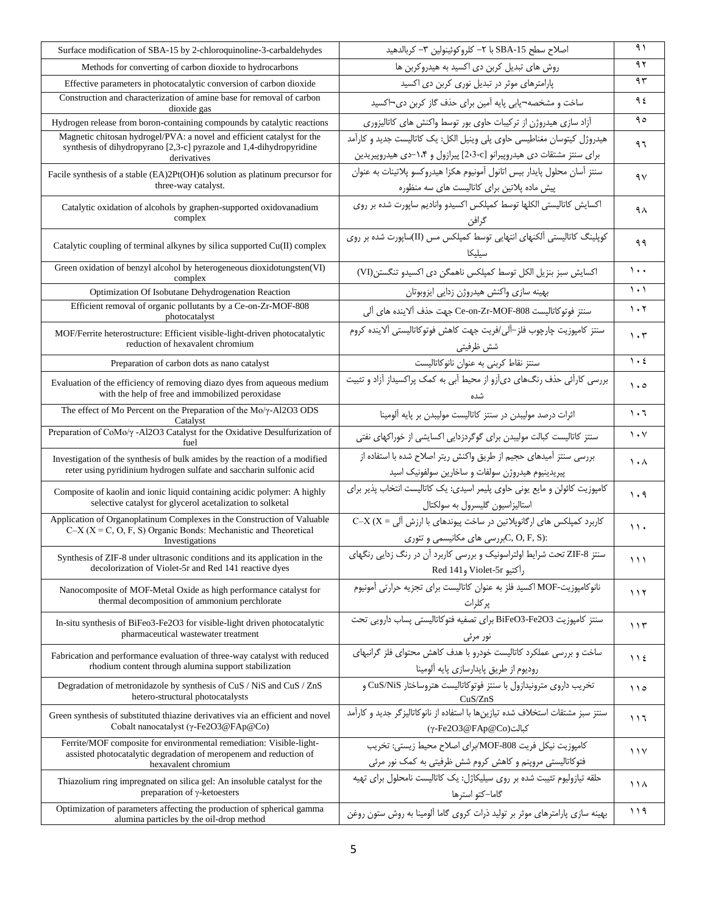| Surface modification of SBA-15 by 2-chloroquinoline-3-carbaldehydes                                                                                                | اصلاح سطح SBA-15 با ٢– كلروكوئينولين ٣– كربالدهيد                                                                                                | ۹۱                              |
|--------------------------------------------------------------------------------------------------------------------------------------------------------------------|--------------------------------------------------------------------------------------------------------------------------------------------------|---------------------------------|
| Methods for converting of carbon dioxide to hydrocarbons                                                                                                           | روش های تبدیل کربن دی اکسید به هیدروکربن ها                                                                                                      | ۹۲                              |
| Effective parameters in photocatalytic conversion of carbon dioxide                                                                                                | پارامترهای موثر در تبدیل نوری کربن دی اکسید                                                                                                      | ۹۳                              |
| Construction and characterization of amine base for removal of carbon<br>dioxide gas                                                                               | ساخت و مشخصه¬یابی پایه آمین برای حذف گاز کربن دی¬اکسید                                                                                           | ۹٤                              |
| Hydrogen release from boron-containing compounds by catalytic reactions                                                                                            | أزاد سازى هيدروژن از تركيبات حاوى بور توسط واكنش هاى كاتاليزورى                                                                                  | 90                              |
| Magnetic chitosan hydrogel/PVA: a novel and efficient catalyst for the<br>synthesis of dihydropyrano [2,3-c] pyrazole and 1,4-dihydropyridine<br>derivatives       | هیدروژل کیتوسان مغناطیسی حاوی پلی وینیل الکل: یک کاتالیست جدید و کارآمد<br>برای سنتز مشتقات دی هیدروپیرانو [2⋅3-c] پیرازول و ۱۰۴-دی هیدروپیریدین | ۹٦                              |
| Facile synthesis of a stable (EA)2Pt(OH)6 solution as platinum precursor for<br>three-way catalyst.                                                                | سنتز آسان محلول پايدار بيس اتانول آمونيوم هكزا هيدروكسو پلاتينات به عنوان<br>پیش ماده پلاتین برای کاتالیست های سه منظوره                         | ۹٧                              |
| Catalytic oxidation of alcohols by graphen-supported oxidovanadium<br>complex                                                                                      | اکسایش کاتالیستی الکلها توسط کمپلکس اکسیدو وانادیم ساپورت شده بر روی<br>گرافن                                                                    | ۹۸                              |
| Catalytic coupling of terminal alkynes by silica supported Cu(II) complex                                                                                          | کوپلینگ کاتالیستی آلکنهای انتهایی توسط کمپلکس مس (II)ساپورت شده بر روی<br>سيليكا                                                                 | ۹۹                              |
| Green oxidation of benzyl alcohol by heterogeneous dioxidotungsten(VI)<br>complex                                                                                  | اکسایش سبز بنزیل الکل توسط کمپلکس ناهمگن دی اکسیدو تنگستن(VI)                                                                                    | $\mathcal{L}$ .                 |
| Optimization Of Isobutane Dehydrogenation Reaction                                                                                                                 | بهينه سازى واكنش هيدروژن زدايي ايزوبوتان                                                                                                         | $\lambda$ . $\lambda$           |
| Efficient removal of organic pollutants by a Ce-on-Zr-MOF-808<br>photocatalyst                                                                                     | سنتز فوتوكاتاليست Ce-on-Zr-MOF-808 جهت حذف آلاينده هاي آلي                                                                                       | $\cdot$ $\cdot$                 |
| MOF/Ferrite heterostructure: Efficient visible-light-driven photocatalytic<br>reduction of hexavalent chromium                                                     | سنتز كامپوزيت چارچوب فلز–آلي/فريت جهت كاهش فوتوكاتاليستي آلاينده كروم<br>شش ظرفيتي                                                               | $\cdot$ ۳                       |
| Preparation of carbon dots as nano catalyst                                                                                                                        | سنتز نقاط كربنى به عنوان نانوكاتاليست                                                                                                            | $\mathcal{L}$                   |
| Evaluation of the efficiency of removing diazo dyes from aqueous medium<br>with the help of free and immobilized peroxidase                                        | بررسی کارآئی حذف رنگهای دیآزو از محیط آبی به کمک پراکسیداز آزاد و تثبیت                                                                          | $\cdot \circ$                   |
| The effect of Mo Percent on the Preparation of the $Mo/\gamma$ -Al2O3 ODS<br>Catalyst                                                                              | اثرات درصد مولیبدن در سنتز کاتالیست مولیبدن بر پایه آلومینا                                                                                      | ۱۰٦                             |
| Preparation of CoMo/ $\gamma$ -Al2O3 Catalyst for the Oxidative Desulfurization of<br>fuel                                                                         | سنتز کاتالیست کبالت مولیبدن برای گوگردزدایی اکسایشی از خوراکهای نفتی                                                                             | $\mathcal{N}$                   |
| Investigation of the synthesis of bulk amides by the reaction of a modified<br>reter using pyridinium hydrogen sulfate and saccharin sulfonic acid                 | بررسی سنتز آمیدهای حجیم از طریق واکنش ریتر اصلاح شده با استفاده از<br>پیریدینیوم هیدروژن سولفات و ساخارین سولفونیک اسید                          | $\lambda \cdot \lambda$         |
| Composite of kaolin and ionic liquid containing acidic polymer: A highly<br>selective catalyst for glycerol acetalization to solketal                              | کامپوزیت کائولن و مایع یونی حاوی پلیمر اسیدی: یک کاتالیست انتخاب پذیر برای<br>استالیزاسیون گلیسرول به سولکتال                                    | $\mathcal{N} \cdot \mathcal{A}$ |
| Application of Organoplatinum Complexes in the Construction of Valuable<br>$C-X$ ( $X = C, O, F, S$ ) Organic Bonds: Mechanistic and Theoretical<br>Investigations | کاربرد کمپلکس های ارگانوپلاتین در ساخت پیوندهای با ارزش آلی = C-X (X<br>:C, O, F, S(رسی های مکانیسمی و تئوری)                                    | $\mathcal{L}$                   |
| Synthesis of ZIF-8 under ultrasonic conditions and its application in the<br>decolorization of Violet-5r and Red 141 reactive dyes                                 | سنتز ZIF-8 تحت شرایط اولتراسونیک و بررسی کاربرد آن در رنگ زدایی رنگهای<br>رأكتيو Violet-5r و Red 141                                             | $\rightarrow$                   |
| Nanocomposite of MOF-Metal Oxide as high performance catalyst for<br>thermal decomposition of ammonium perchlorate                                                 | نانوكامپوزيت-MOF اكسيد فلز به عنوان كاتاليست براي تجزيه حرارتي آمونيوم<br>پر کلرات                                                               | ۱۱۲                             |
| In-situ synthesis of BiFeo3-Fe2O3 for visible-light driven photocatalytic<br>pharmaceutical wastewater treatment                                                   | سنتز كامپوزيت BiFeO3-Fe2O3 براى تصفيه فتوكاتاليستى پساب دارويى تحت<br>نور مرئی                                                                   | ۱۱۳                             |
| Fabrication and performance evaluation of three-way catalyst with reduced<br>rhodium content through alumina support stabilization                                 | ساخت و بررسی عملکرد کاتالیست خودرو با هدف کاهش محتوای فلز گرانبهای<br>روديوم از طريق پايدارسازي پايه ألومينا                                     | $\bigwedge$                     |
| Degradation of metronidazole by synthesis of CuS / NiS and CuS / ZnS<br>hetero-structural photocatalysts                                                           | تخریب داروی مترونیدازول با سنتز فوتوكاتالیست هتروساختار CuS/NiS و<br>CuS/ZnS                                                                     | 110                             |
| Green synthesis of substituted thiazine derivatives via an efficient and novel<br>Cobalt nanocatalyst (γ-Fe2O3@FAp@Co)                                             | سنتز سبز مشتقات استخلاف شده تيازين ها با استفاده از نانوكاتاليزگر جديد و كارآمد<br>(γ-Fe2O3@FAp@Co)كبالت                                         | ۱۱٦                             |
| Ferrite/MOF composite for environmental remediation: Visible-light-<br>assisted photocatalytic degradation of meropenem and reduction of<br>hexavalent chromium    | كامپوزيت نيكل فريت MOF-808/براى اصلاح محيط زيستى: تخريب<br>فتوکاتالیستی مروپنم و کاهش کروم شش ظرفیتی به کمک نور مرئی                             | 11 <sup>V</sup>                 |
| Thiazolium ring impregnated on silica gel: An insoluble catalyst for the<br>preparation of $\gamma$ -ketoesters                                                    | حلقه تیازولیوم تثیبت شده بر روی سیلیکاژل: یک کاتالیست نامحلول برای تهیه<br>گاما–کتو استرها                                                       | ۱۱۸                             |
| Optimization of parameters affecting the production of spherical gamma<br>alumina particles by the oil-drop method                                                 | بهینه سازی پارامترهای موثر بر تولید ذرات کروی گاما آلومینا به روش ستون روغن                                                                      | ۱۱۹                             |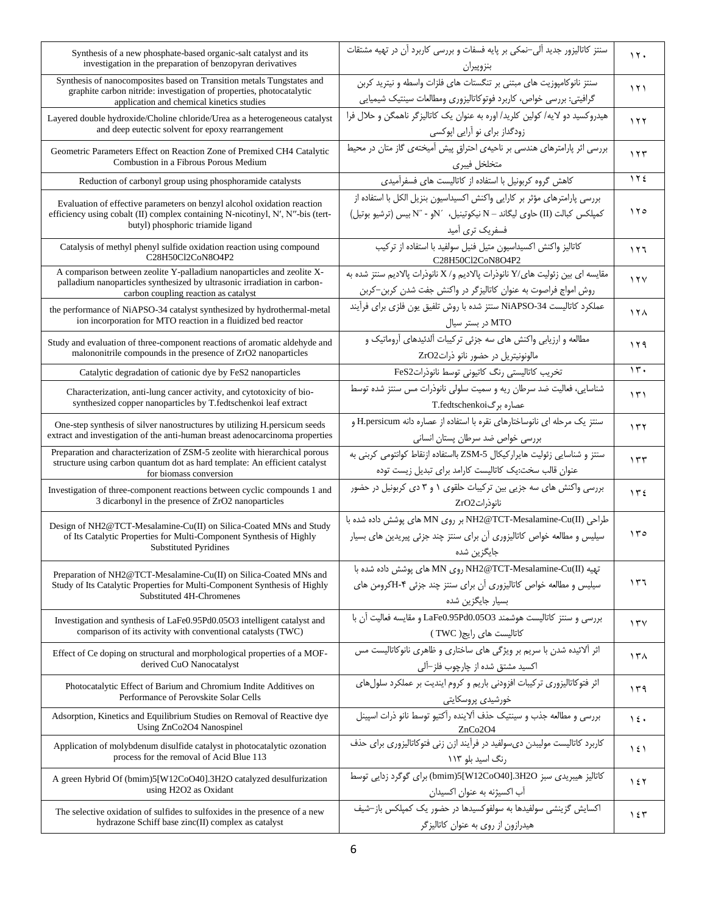| Synthesis of a new phosphate-based organic-salt catalyst and its<br>investigation in the preparation of benzopyran derivatives                                                                 | سنتز کاتالیزور جدید آلی-نمکی بر پایه فسفات و بررسی کاربرد آن در تهیه مشتقات<br>بنزوپيران                                                                                 | $\lambda$       |
|------------------------------------------------------------------------------------------------------------------------------------------------------------------------------------------------|--------------------------------------------------------------------------------------------------------------------------------------------------------------------------|-----------------|
| Synthesis of nanocomposites based on Transition metals Tungstates and<br>graphite carbon nitride: investigation of properties, photocatalytic<br>application and chemical kinetics studies     | سنتز نانوكامپوزيت هاى مبتنى بر تنگستات هاى فلزات واسطه و نيتريد كربن<br>گرافیتی: بررسی خواص، کاربرد فوتوکاتالیزوری ومطالعات سینتیک شیمیایی                               | ۱۲۱             |
| Layered double hydroxide/Choline chloride/Urea as a heterogeneous catalyst<br>and deep eutectic solvent for epoxy rearrangement                                                                | هیدروکسید دو لایه/ کولین کلرید/ اوره به عنوان یک کاتالیزگر ناهمگن و حلال فرا<br>زودگداز برای نو آرایی اپوکسی                                                             | ۱۲۲             |
| Geometric Parameters Effect on Reaction Zone of Premixed CH4 Catalytic<br>Combustion in a Fibrous Porous Medium                                                                                | بررسی اثر پارامترهای هندسی بر ناحیهی احتراق پیش آمیختهی گاز متان در محیط<br>متخلخل فيبرى                                                                                 | 155             |
| Reduction of carbonyl group using phosphoramide catalysts                                                                                                                                      | كاهش گروه كربونيل با استفاده از كاتاليست هاى فسفرآميدى                                                                                                                   | $\gamma \gamma$ |
| Evaluation of effective parameters on benzyl alcohol oxidation reaction<br>efficiency using cobalt (II) complex containing N-nicotinyl, N', N"-bis (tert-<br>butyl) phosphoric triamide ligand | بررسی پارامترهای مؤثر بر کارایی واکنش اکسیداسیون بنزیل الکل با استفاده از<br>كمپلكس كبالت (II) حاوى ليگاند - N نيكوتينيل، 'Nو - 'N' بيس (ترشيو بوتيل)<br>فسفریک تری أمید | ۱۲۰             |
| Catalysis of methyl phenyl sulfide oxidation reaction using compound<br>C28H50Cl2CoN8O4P2                                                                                                      | كاتاليز واكنش اكسيداسيون متيل فنيل سولفيد با استفاده از تركيب<br>C28H50Cl2CoN8O4P2                                                                                       | ۲۲۱             |
| A comparison between zeolite Y-palladium nanoparticles and zeolite X-<br>palladium nanoparticles synthesized by ultrasonic irradiation in carbon-<br>carbon coupling reaction as catalyst      | مقايسه اي بين زئوليت هاي/Y نانوذرات يالاديم و/ X نانوذرات يالاديم سنتز شده به<br>روش امواج فراصوت به عنوان كاتاليزگر در واكنش جفت شدن كربن–كربن                          | 17 <sub>V</sub> |
| the performance of NiAPSO-34 catalyst synthesized by hydrothermal-metal<br>ion incorporation for MTO reaction in a fluidized bed reactor                                                       | عملكرد كاتاليست NiAPSO-34 سنتز شده با روش تلفيق يون فلزى براى فرآيند<br>MTO در بستر سیال                                                                                 | ۱۲۸             |
| Study and evaluation of three-component reactions of aromatic aldehyde and<br>malononitrile compounds in the presence of ZrO2 nanoparticles                                                    | مطالعه و ارزیابی واکنش های سه جزئی ترکیبات آلدئیدهای آروماتیک و<br>مالونونیتریل در حضور نانو ذراتZrO2                                                                    | ۱۲۹             |
| Catalytic degradation of cationic dye by FeS2 nanoparticles                                                                                                                                    | تخریب کاتالیستی رنگ کاتیونی توسط نانوذراتFeS2                                                                                                                            | $\mathcal{N}$ . |
| Characterization, anti-lung cancer activity, and cytotoxicity of bio-<br>synthesized copper nanoparticles by T.fedtschenkoi leaf extract                                                       | شناسایی، فعالیت ضد سرطان ریه و سمیت سلولی نانوذرات مس سنتز شده توسط<br>عصارہ برگT.fedtschenkoi                                                                           | ۱۳۱             |
| One-step synthesis of silver nanostructures by utilizing H, persicum seeds<br>extract and investigation of the anti-human breast adenocarcinoma properties                                     | سنتز یک مرحله ای نانوساختارهای نقره با استفاده از عصاره دانه H.persicum و<br>بررسی خواص ضد سرطان پستان انسانی                                                            | ۱۳۲             |
| Preparation and characterization of ZSM-5 zeolite with hierarchical porous<br>structure using carbon quantum dot as hard template: An efficient catalyst<br>for biomass conversion             | سنتز و شناسایی زئولیت هایرارکیکال ZSM-5 بااستفاده ازنقاط کوانتومی کربنی به<br>عنوان قالب سخت:یک کاتالیست کارامد برای تبدیل زیست توده                                     | 155             |
| Investigation of three-component reactions between cyclic compounds 1 and<br>3 dicarbonyl in the presence of ZrO2 nanoparticles                                                                | بررسی واکنش های سه جزیی بین ترکیبات حلقوی ۱ و ۳ دی کربونیل در حضور<br>$ZrO2$ نانوذرات                                                                                    | 152             |
| Design of $NH2@TCT-Mesalamine-Cu(II)$ on Silica-Coated MNs and Study<br>of Its Catalytic Properties for Multi-Component Synthesis of Highly<br><b>Substituted Pyridines</b>                    | طراحی (NN و NH2@TCT-Mesalamine-Cu(II بر روی MN های پوشش داده شده با<br>سیلیس و مطالعه خواص کاتالیزوری آن برای سنتز چند جزئی پیریدین های بسیار<br>جایگزین شده             | 150             |
| Preparation of NH2@TCT-Mesalamine-Cu(II) on Silica-Coated MNs and<br>Study of Its Catalytic Properties for Multi-Component Synthesis of Highly<br>Substituted 4H-Chromenes                     | تهیه NN2@TCT-Mesalamine-Cu(II) روی MN های پوشش داده شده با<br>سیلیس و مطالعه خواص کاتالیزوری آن برای سنتز چند جزئی ۴-Hکرومن های<br>بسیار جایگزین شده                     | ۱۳٦             |
| Investigation and synthesis of LaFe0.95Pd0.05O3 intelligent catalyst and<br>comparison of its activity with conventional catalysts (TWC)                                                       | بررسی و سنتز كاتالیست هوشمند LaFe0.95Pd0.05O3 و مقایسه فعالیت آن با<br>كاتاليست هاى رايج ( TWC )                                                                         | 15 <sup>V</sup> |
| Effect of Ce doping on structural and morphological properties of a MOF-<br>derived CuO Nanocatalyst                                                                                           | اثر آلائیده شدن با سریم بر ویژگی های ساختاری و ظاهری نانوکاتالیست مس<br>اکسید مشتق شده از چارچوب فلز–آلی                                                                 | ۱۳۸             |
| Photocatalytic Effect of Barium and Chromium Indite Additives on<br>Performance of Perovskite Solar Cells                                                                                      | اثر فتوكاتاليزوري تركيبات افزودني باريم و كروم اينديت بر عملكرد سلول هاي<br>خورشیدی پروسکایتی                                                                            | ۱۳۹             |
| Adsorption, Kinetics and Equilibrium Studies on Removal of Reactive dye<br>Using ZnCo2O4 Nanospinel                                                                                            | بررسی و مطالعه جذب و سینتیک حذف آلاینده رآکتیو توسط نانو ذرات اسپینل<br>ZnCo2O4                                                                                          | $\lambda \xi$   |
| Application of molybdenum disulfide catalyst in photocatalytic ozonation<br>process for the removal of Acid Blue 113                                                                           | کاربرد کاتالیست مولیبدن دی سولفید در فرآیند ازن زنی فتوکاتالیزوری برای حذف<br>رنگ اسید بلو ۱۱۳                                                                           | $\frac{1}{2}$   |
| A green Hybrid Of (bmim)5[W12CoO40].3H2O catalyzed desulfurization<br>using H2O2 as Oxidant                                                                                                    | كاتاليز هيبريدي سبز 03H2O(bmim)5[W12CoO40] براي گوگرد زدايي توسط<br>آب اکسیژنه به عنوان اکسیدان                                                                          | 157             |
| The selective oxidation of sulfides to sulfoxides in the presence of a new<br>hydrazone Schiff base zinc(II) complex as catalyst                                                               | اکسایش گزینشی سولفیدها به سولفوکسیدها در حضور یک کمیلکس باز-شیف<br>هیدرازون از روی به عنوان کاتالیزگر                                                                    | ۱٤٣             |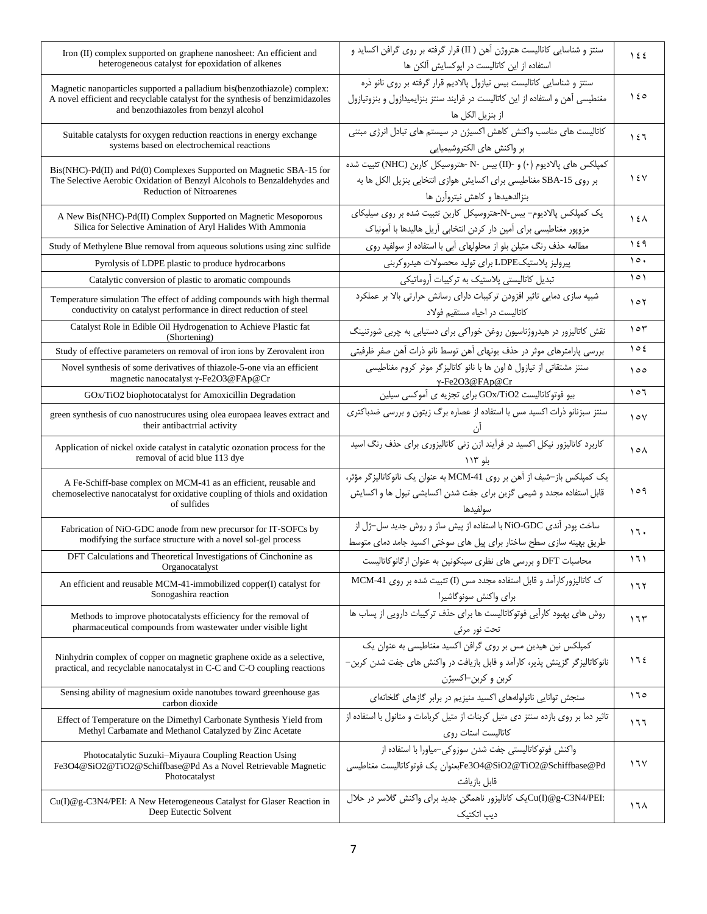| Iron (II) complex supported on graphene nanosheet: An efficient and<br>heterogeneous catalyst for epoxidation of alkenes                                                                             | سنتز و شناسایی کاتالیست هتروژن آهن ( II) قرار گرفته بر روی گرافن اکساید و<br>استفاده از این کاتالیست در اپوکسایش آلکن ها                                                     | $\frac{1}{2}$   |
|------------------------------------------------------------------------------------------------------------------------------------------------------------------------------------------------------|------------------------------------------------------------------------------------------------------------------------------------------------------------------------------|-----------------|
| Magnetic nanoparticles supported a palladium bis (benzothiazole) complex:<br>A novel efficient and recyclable catalyst for the synthesis of benzimidazoles<br>and benzothiazoles from benzyl alcohol | سنتز و شناسایی کاتالیست بیس تیازول پالادیم قرار گرفته بر روی نانو ذره<br>مغنطیسی آهن و استفاده از این کاتالیست در فرایند سنتز بنزایمیدازول و بنزوتیازول<br>از بنزيل الكل ها  | ۵ ۱ (           |
| Suitable catalysts for oxygen reduction reactions in energy exchange<br>systems based on electrochemical reactions                                                                                   | کاتالیست های مناسب واکنش کاهش اکسیژن در سیستم های تبادل انرژی مبتنی<br>بر واكنش هاى الكتروشيميايي                                                                            | ۱٤٦             |
| Bis(NHC)-Pd(II) and Pd(0) Complexes Supported on Magnetic SBA-15 for<br>The Selective Aerobic Oxidation of Benzyl Alcohols to Benzaldehydes and<br><b>Reduction of Nitroarenes</b>                   | كمپلكس هاى پالاديوم (٠) و -(II) بيس -N-هتروسيكل كاربن (NHC) تثبيت شده<br>بر روى SBA-15 مغناطيسي براي اكسايش هوازي انتخابي بنزيل الكل ها به<br>بنزالدهيدها و كاهش نيتروآرن ها | $\sqrt{2}$      |
| A New Bis(NHC)-Pd(II) Complex Supported on Magnetic Mesoporous<br>Silica for Selective Amination of Aryl Halides With Ammonia                                                                        | یک کمپلکس پالادیوم- بیس-N-هتروسیکل کاربن تثبیت شده بر روی سیلیکای<br>مزوپور مغناطیسی برای آمین دار کردن انتخابی آریل هالیدها با آمونیاک                                      | $\lambda$       |
| Study of Methylene Blue removal from aqueous solutions using zinc sulfide                                                                                                                            | مطالعه حذف رنگ متیلن بلو از محلولهای آبی با استفاده از سولفید روی                                                                                                            | ١٤٩             |
| Pyrolysis of LDPE plastic to produce hydrocarbons                                                                                                                                                    | پیرولیز پلاستیکLDPE برای تولید محصولات هیدروکربنی                                                                                                                            | ۱٥.             |
| Catalytic conversion of plastic to aromatic compounds                                                                                                                                                | تبدیل کاتالیستی پلاستیک به ترکیبات آروماتیکی                                                                                                                                 | 101             |
| Temperature simulation The effect of adding compounds with high thermal<br>conductivity on catalyst performance in direct reduction of steel                                                         | شبیه سازی دمایی تاثیر افزودن ترکیبات دارای رسانش حرارتی بالا بر عملکرد<br>كاتاليست در احياء مستقيم فولاد                                                                     | 101             |
| Catalyst Role in Edible Oil Hydrogenation to Achieve Plastic fat<br>(Shortening)                                                                                                                     | نقش کاتالیزور در هیدروژناسیون روغن خوراکی برای دستیابی به چربی شورتنینگ                                                                                                      | 105             |
| Study of effective parameters on removal of iron ions by Zerovalent iron                                                                                                                             | بررسی پارامترهای موثر در حذف یونهای آهن توسط نانو ذرات آهن صفر ظرفیتی                                                                                                        | 102             |
| Novel synthesis of some derivatives of thiazole-5-one via an efficient<br>magnetic nanocatalyst γ-Fe2O3@FAp@Cr                                                                                       | سنتز مشتقاتی از تیازول ۵ اون ها با نانو کاتالیزگر موثر کروم مغناطیسی<br>$\gamma$ -Fe2O3@FAp@Cr                                                                               | 000             |
| GOx/TiO2 biophotocatalyst for Amoxicillin Degradation                                                                                                                                                | بیو فوتوكاتالیست GOx/TiO2 برای تجزیه ی آموكسی سیلین                                                                                                                          | 107             |
| green synthesis of cuo nanostrucures using olea europaea leaves extract and<br>their antibactrrial activity                                                                                          | سنتز سبزنانو ذرات اکسید مس با استفاده از عصاره برگ زیتون و بررسی ضدباکتری                                                                                                    | $\vee$          |
| Application of nickel oxide catalyst in catalytic ozonation process for the<br>removal of acid blue 113 dye                                                                                          | کاربرد کاتالیزور نیکل اکسید در فرآیند ازن زنی کاتالیزوری برای حذف رنگ اسید<br>بلو ۱۱۳                                                                                        | ۱۰۸             |
| A Fe-Schiff-base complex on MCM-41 as an efficient, reusable and<br>chemoselective nanocatalyst for oxidative coupling of thiols and oxidation<br>of sulfides                                        | یک کمپلکس باز-شیف از آهن بر روی MCM-41 به عنوان یک نانوکاتالیزگر مؤثر،<br>قابل استفاده مجدد و شیمی گزین برای جفت شدن اکسایشی تیول ها و اکسایش<br>سولفيدها                    | ۱٥۹             |
| Fabrication of NiO-GDC anode from new precursor for IT-SOFCs by<br>modifying the surface structure with a novel sol-gel process                                                                      | ساخت پودر آندی NiO-GDC با استفاده از پیش ساز و روش جدید سل-ژل از<br>طریق بهینه سازی سطح ساختار برای پیل های سوختی اکسید جامد دمای متوسط                                      | 17.             |
| DFT Calculations and Theoretical Investigations of Cinchonine as<br>Organocatalyst                                                                                                                   | محاسبات DFT و بررسی های نظری سینکونین به عنوان ارگانوکاتالیست                                                                                                                | ۱٦۱             |
| An efficient and reusable MCM-41-immobilized copper(I) catalyst for<br>Sonogashira reaction                                                                                                          | ک کاتالیزور کارآمد و قابل استفاده مجدد مس (I) تثبیت شده بر روی MCM-41<br>براى واكنش سونوگاشيرا                                                                               | ۱٦۲             |
| Methods to improve photocatalysts efficiency for the removal of<br>pharmaceutical compounds from wastewater under visible light                                                                      | روش های بهبود کارآیی فوتوکاتالیست ها برای حذف ترکیبات دارویی از یساب ها<br>تحت نور مرئ <i>ی</i>                                                                              | ۱٦٣             |
| Ninhydrin complex of copper on magnetic graphene oxide as a selective,<br>practical, and recyclable nanocatalyst in C-C and C-O coupling reactions                                                   | ۔<br>کمیلکس نین هیدین مس بر روی گرافن اکسید مغناطیسی به عنوان یک<br>نانوكاتاليز گر گزينش پذير، كارآمد و قابل بازيافت در واكنش هاي جفت شدن كربن-<br>كربن و كربن–اكسيژن        | 112             |
| Sensing ability of magnesium oxide nanotubes toward greenhouse gas<br>carbon dioxide                                                                                                                 | سنجش توانایی نانولولههای اکسید منیزیم در برابر گازهای گلخانهای                                                                                                               | ۱٦٥             |
| Effect of Temperature on the Dimethyl Carbonate Synthesis Yield from<br>Methyl Carbamate and Methanol Catalyzed by Zinc Acetate                                                                      | تاثیر دما بر روی بازده سنتز دی متیل کربنات از متیل کربامات و متانول با استفاده از<br>كاتاليست استات روى                                                                      | ۱٦٦             |
| Photocatalytic Suzuki-Miyaura Coupling Reaction Using<br>Fe3O4@SiO2@TiO2@Schiffbase@Pd As a Novel Retrievable Magnetic<br>Photocatalyst                                                              | واكنش فوتوكاتاليستى جفت شدن سوزوكي–مياورا با استفاده از<br>Fe3O4@SiO2@TiO2@Schiffbase@Pdبعنوان يک فوتوكاتاليست مغناطيسي<br>قابل بازيافت                                      | 17 <sup>V</sup> |
| Cu(I)@g-C3N4/PEI: A New Heterogeneous Catalyst for Glaser Reaction in<br>Deep Eutectic Solvent                                                                                                       | :Cu(I)@g-C3N4/PEIپک کاتالیزور ناهمگن جدید برای واکنش گلاسر در حلال<br>دیپ اتکتیک                                                                                             | ۱٦۸             |